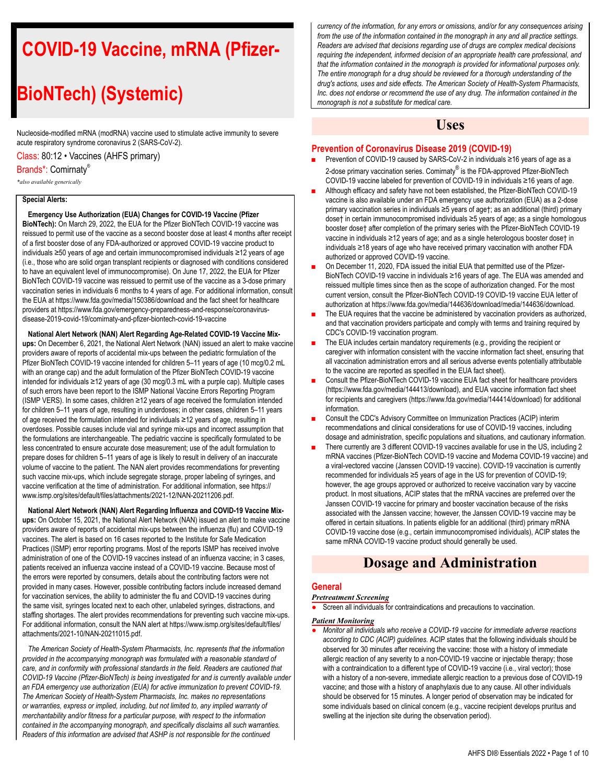# **COVID-19 Vaccine, mRNA (Pfizer-**

# **BioNTech) (Systemic)**

Nucleoside-modified mRNA (modRNA) vaccine used to stimulate active immunity to severe acute respiratory syndrome coronavirus 2 (SARS-CoV-2).

Class: 80:12 • Vaccines (AHFS primary)

#### Brands\*: Comirnaty®

*\*also available generically*

#### **Special Alerts:**

**Emergency Use Authorization (EUA) Changes for COVID-19 Vaccine (Pfizer**

**BioNTech):** On March 29, 2022, the EUA for the Pfizer BioNTech COVID-19 vaccine was reissued to permit use of the vaccine as a second booster dose at least 4 months after receipt of a first booster dose of any FDA-authorized or approved COVID-19 vaccine product to individuals ≥50 years of age and certain immunocompromised individuals ≥12 years of age (i.e., those who are solid organ transplant recipients or diagnosed with conditions considered to have an equivalent level of immunocompromise). On June 17, 2022, the EUA for Pfizer BioNTech COVID-19 vaccine was reissued to permit use of the vaccine as a 3-dose primary vaccination series in individuals 6 months to 4 years of age. For additional information, consult the EUA at https://www.fda.gov/media/150386/download and the fact sheet for healthcare providers at https://www.fda.gov/emergency-preparedness-and-response/coronavirusdisease-2019-covid-19/comirnaty-and-pfizer-biontech-covid-19-vaccine

**National Alert Network (NAN) Alert Regarding Age-Related COVID-19 Vaccine Mixups:** On December 6, 2021, the National Alert Network (NAN) issued an alert to make vaccine providers aware of reports of accidental mix-ups between the pediatric formulation of the Pfizer BioNTech COVID-19 vaccine intended for children 5–11 years of age (10 mcg/0.2 mL with an orange cap) and the adult formulation of the Pfizer BioNTech COVID-19 vaccine intended for individuals ≥12 years of age (30 mcg/0.3 mL with a purple cap). Multiple cases of such errors have been report to the ISMP National Vaccine Errors Reporting Program (ISMP VERS). In some cases, children ≥12 years of age received the formulation intended for children 5–11 years of age, resulting in underdoses; in other cases, children 5–11 years of age received the formulation intended for individuals ≥12 years of age, resulting in overdoses. Possible causes include vial and syringe mix-ups and incorrect assumption that the formulations are interchangeable. The pediatric vaccine is specifically formulated to be less concentrated to ensure accurate dose measurement; use of the adult formulation to prepare doses for children 5–11 years of age is likely to result in delivery of an inaccurate volume of vaccine to the patient. The NAN alert provides recommendations for preventing such vaccine mix-ups, which include segregate storage, proper labeling of syringes, and vaccine verification at the time of administration. For additional information, see https:// www.ismp.org/sites/default/files/attachments/2021-12/NAN-20211206.pdf.

**National Alert Network (NAN) Alert Regarding Influenza and COVID-19 Vaccine Mixups:** On October 15, 2021, the National Alert Network (NAN) issued an alert to make vaccine providers aware of reports of accidental mix-ups between the influenza (flu) and COVID-19 vaccines. The alert is based on 16 cases reported to the Institute for Safe Medication Practices (ISMP) error reporting programs. Most of the reports ISMP has received involve administration of one of the COVID-19 vaccines instead of an influenza vaccine; in 3 cases, patients received an influenza vaccine instead of a COVID-19 vaccine. Because most of the errors were reported by consumers, details about the contributing factors were not provided in many cases. However, possible contributing factors include increased demand for vaccination services, the ability to administer the flu and COVID-19 vaccines during the same visit, syringes located next to each other, unlabeled syringes, distractions, and staffing shortages. The alert provides recommendations for preventing such vaccine mix-ups. For additional information, consult the NAN alert at https://www.ismp.org/sites/default/files/ attachments/2021-10/NAN-20211015.pdf.

*The American Society of Health-System Pharmacists, Inc. represents that the information provided in the accompanying monograph was formulated with a reasonable standard of care, and in conformity with professional standards in the field. Readers are cautioned that COVID-19 Vaccine (Pfizer-BioNTech) is being investigated for and is currently available under an FDA emergency use authorization (EUA) for active immunization to prevent COVID-19. The American Society of Health-System Pharmacists, Inc. makes no representations or warranties, express or implied, including, but not limited to, any implied warranty of merchantability and/or fitness for a particular purpose, with respect to the information contained in the accompanying monograph, and specifically disclaims all such warranties. Readers of this information are advised that ASHP is not responsible for the continued*

*currency of the information, for any errors or omissions, and/or for any consequences arising from the use of the information contained in the monograph in any and all practice settings. Readers are advised that decisions regarding use of drugs are complex medical decisions requiring the independent, informed decision of an appropriate health care professional, and that the information contained in the monograph is provided for informational purposes only. The entire monograph for a drug should be reviewed for a thorough understanding of the drug's actions, uses and side effects. The American Society of Health-System Pharmacists, Inc. does not endorse or recommend the use of any drug. The information contained in the monograph is not a substitute for medical care.*

## **Uses**

#### **Prevention of Coronavirus Disease 2019 (COVID-19)**

- Prevention of COVID-19 caused by SARS-CoV-2 in individuals ≥16 years of age as a 2-dose primary vaccination series. Comirnaty® is the FDA-approved Pfizer-BioNTech COVID-19 vaccine labeled for prevention of COVID-19 in individuals ≥16 years of age.
- Although efficacy and safety have not been established, the Pfizer-BioNTech COVID-19 vaccine is also available under an FDA emergency use authorization (EUA) as a 2-dose primary vaccination series in individuals ≥5 years of age†; as an additional (third) primary dose† in certain immunocompromised individuals ≥5 years of age; as a single homologous booster dose† after completion of the primary series with the Pfizer-BioNTech COVID-19 vaccine in individuals ≥12 years of age; and as a single heterologous booster dose† in individuals ≥18 years of age who have received primary vaccination with another FDA authorized or approved COVID-19 vaccine.
- On December 11, 2020, FDA issued the initial EUA that permitted use of the Pfizer-BioNTech COVID-19 vaccine in individuals ≥16 years of age. The EUA was amended and reissued multiple times since then as the scope of authorization changed. For the most current version, consult the Pfizer-BioNTech COVID-19 COVID-19 vaccine EUA letter of authorization at https://www.fda.gov/media/144636/download/media/144636/download.
- The EUA requires that the vaccine be administered by vaccination providers as authorized, and that vaccination providers participate and comply with terms and training required by CDC's COVID-19 vaccination program.
- The EUA includes certain mandatory requirements (e.g., providing the recipient or caregiver with information consistent with the vaccine information fact sheet, ensuring that all vaccination administration errors and all serious adverse events potentially attributable to the vaccine are reported as specified in the EUA fact sheet).
- Consult the Pfizer-BioNTech COVID-19 vaccine EUA fact sheet for healthcare providers (https://www.fda.gov/media/144413/download), and EUA vaccine information fact sheet for recipients and caregivers (https://www.fda.gov/media/144414/download) for additional information.
- Consult the CDC's Advisory Committee on Immunization Practices (ACIP) interim recommendations and clinical considerations for use of COVID-19 vaccines, including dosage and administration, specific populations and situations, and cautionary information.
- There currently are 3 different COVID-19 vaccines available for use in the US, including 2 mRNA vaccines (Pfizer-BioNTech COVID-19 vaccine and Moderna COVID-19 vaccine) and a viral-vectored vaccine (Janssen COVID-19 vaccine). COVID-19 vaccination is currently recommended for individuals ≥5 years of age in the US for prevention of COVID-19; however, the age groups approved or authorized to receive vaccination vary by vaccine product. In most situations, ACIP states that the mRNA vaccines are preferred over the Janssen COVID-19 vaccine for primary and booster vaccination because of the risks associated with the Janssen vaccine; however, the Janssen COVID-19 vaccine may be offered in certain situations. In patients eligible for an additional (third) primary mRNA COVID-19 vaccine dose (e.g., certain immunocompromised individuals), ACIP states the same mRNA COVID-19 vaccine product should generally be used.

# **Dosage and Administration**

#### **General**

#### *Pretreatment Screening*

Screen all individuals for contraindications and precautions to vaccination.

#### *Patient Monitoring*

● *Monitor all individuals who receive a COVID-19 vaccine for immediate adverse reactions according to CDC (ACIP) guidelines.* ACIP states that the following individuals should be observed for 30 minutes after receiving the vaccine: those with a history of immediate allergic reaction of any severity to a non-COVID-19 vaccine or injectable therapy; those with a contraindication to a different type of COVID-19 vaccine (i.e., viral vector); those with a history of a non-severe, immediate allergic reaction to a previous dose of COVID-19 vaccine; and those with a history of anaphylaxis due to any cause. All other individuals should be observed for 15 minutes. A longer period of observation may be indicated for some individuals based on clinical concern (e.g., vaccine recipient develops pruritus and swelling at the injection site during the observation period).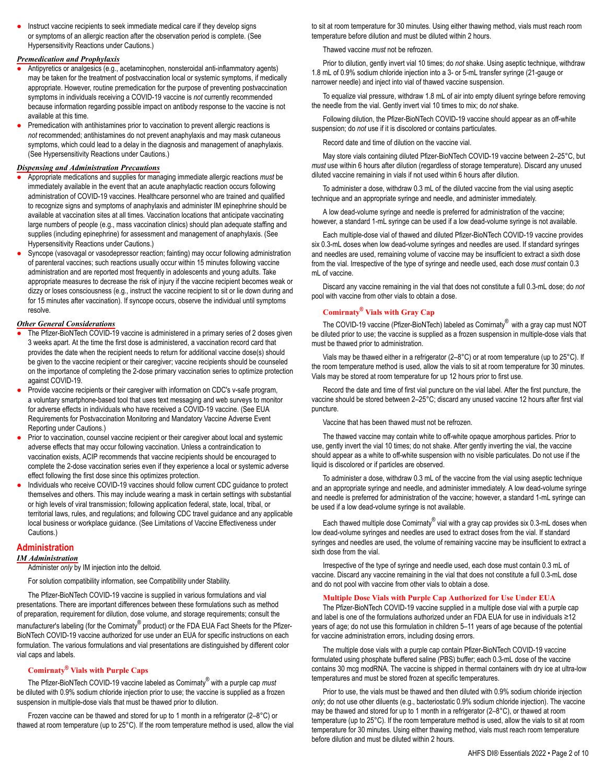Instruct vaccine recipients to seek immediate medical care if they develop signs or symptoms of an allergic reaction after the observation period is complete. (See Hypersensitivity Reactions under Cautions.)

#### *Premedication and Prophylaxis*

- Antipyretics or analgesics (e.g., acetaminophen, nonsteroidal anti-inflammatory agents) may be taken for the treatment of postvaccination local or systemic symptoms, if medically appropriate. However, routine premedication for the purpose of preventing postvaccination symptoms in individuals receiving a COVID-19 vaccine is *not* currently recommended because information regarding possible impact on antibody response to the vaccine is not available at this time.
- Premedication with antihistamines prior to vaccination to prevent allergic reactions is *not* recommended; antihistamines do not prevent anaphylaxis and may mask cutaneous symptoms, which could lead to a delay in the diagnosis and management of anaphylaxis. (See Hypersensitivity Reactions under Cautions.)

#### *Dispensing and Administration Precautions*

- Appropriate medications and supplies for managing immediate allergic reactions *must* be immediately available in the event that an acute anaphylactic reaction occurs following administration of COVID-19 vaccines. Healthcare personnel who are trained and qualified to recognize signs and symptoms of anaphylaxis and administer IM epinephrine should be available at vaccination sites at all times. Vaccination locations that anticipate vaccinating large numbers of people (e.g., mass vaccination clinics) should plan adequate staffing and supplies (including epinephrine) for assessment and management of anaphylaxis. (See Hypersensitivity Reactions under Cautions.)
- Syncope (vasovagal or vasodepressor reaction; fainting) may occur following administration of parenteral vaccines; such reactions usually occur within 15 minutes following vaccine administration and are reported most frequently in adolescents and young adults. Take appropriate measures to decrease the risk of injury if the vaccine recipient becomes weak or dizzy or loses consciousness (e.g., instruct the vaccine recipient to sit or lie down during and for 15 minutes after vaccination). If syncope occurs, observe the individual until symptoms resolve.

#### *Other General Considerations*

- The Pfizer-BioNTech COVID-19 vaccine is administered in a primary series of 2 doses given 3 weeks apart. At the time the first dose is administered, a vaccination record card that provides the date when the recipient needs to return for additional vaccine dose(s) should be given to the vaccine recipient or their caregiver; vaccine recipients should be counseled on the importance of completing the 2-dose primary vaccination series to optimize protection against COVID-19.
- Provide vaccine recipients or their caregiver with information on CDC's v-safe program, a voluntary smartphone-based tool that uses text messaging and web surveys to monitor for adverse effects in individuals who have received a COVID-19 vaccine. (See EUA Requirements for Postvaccination Monitoring and Mandatory Vaccine Adverse Event Reporting under Cautions.)
- Prior to vaccination, counsel vaccine recipient or their caregiver about local and systemic adverse effects that may occur following vaccination. Unless a contraindication to vaccination exists, ACIP recommends that vaccine recipients should be encouraged to complete the 2-dose vaccination series even if they experience a local or systemic adverse effect following the first dose since this optimizes protection.
- Individuals who receive COVID-19 vaccines should follow current CDC guidance to protect themselves and others. This may include wearing a mask in certain settings with substantial or high levels of viral transmission; following application federal, state, local, tribal, or territorial laws, rules, and regulations; and following CDC travel guidance and any applicable local business or workplace guidance. (See Limitations of Vaccine Effectiveness under Cautions.)

#### **Administration**

#### *IM Administration*

Administer *only* by IM injection into the deltoid.

For solution compatibility information, see Compatibility under Stability.

The Pfizer-BioNTech COVID-19 vaccine is supplied in various formulations and vial presentations. There are important differences between these formulations such as method of preparation, requirement for dilution, dose volume, and storage requirements; consult the manufacturer's labeling (for the Comirnaty<sup>®</sup> product) or the FDA EUA Fact Sheets for the Pfizer-BioNTech COVID-19 vaccine authorized for use under an EUA for specific instructions on each formulation. The various formulations and vial presentations are distinguished by different color vial caps and labels.

#### **Comirnaty® Vials with Purple Caps**

The Pfizer-BioNTech COVID-19 vaccine labeled as Comirnaty® with a purple cap *must* be diluted with 0.9% sodium chloride injection prior to use; the vaccine is supplied as a frozen suspension in multiple-dose vials that must be thawed prior to dilution.

Frozen vaccine can be thawed and stored for up to 1 month in a refrigerator (2–8°C) or thawed at room temperature (up to 25°C). If the room temperature method is used, allow the vial to sit at room temperature for 30 minutes. Using either thawing method, vials must reach room temperature before dilution and must be diluted within 2 hours.

Thawed vaccine *must* not be refrozen.

Prior to dilution, gently invert vial 10 times; do *not* shake. Using aseptic technique, withdraw 1.8 mL of 0.9% sodium chloride injection into a 3- or 5-mL transfer syringe (21-gauge or narrower needle) and inject into vial of thawed vaccine suspension.

To equalize vial pressure, withdraw 1.8 mL of air into empty diluent syringe before removing the needle from the vial. Gently invert vial 10 times to mix; do *not* shake.

Following dilution, the Pfizer-BioNTech COVID-19 vaccine should appear as an off-white suspension; do *not* use if it is discolored or contains particulates.

Record date and time of dilution on the vaccine vial.

May store vials containing diluted Pfizer-BioNTech COVID-19 vaccine between 2–25°C, but *must* use within 6 hours after dilution (regardless of storage temperature). Discard any unused diluted vaccine remaining in vials if not used within 6 hours after dilution.

To administer a dose, withdraw 0.3 mL of the diluted vaccine from the vial using aseptic technique and an appropriate syringe and needle, and administer immediately.

A low dead-volume syringe and needle is preferred for administration of the vaccine; however, a standard 1-mL syringe can be used if a low dead-volume syringe is not available.

Each multiple-dose vial of thawed and diluted Pfizer-BioNTech COVID-19 vaccine provides six 0.3-mL doses when low dead-volume syringes and needles are used. If standard syringes and needles are used, remaining volume of vaccine may be insufficient to extract a sixth dose from the vial. Irrespective of the type of syringe and needle used, each dose *must* contain 0.3 mL of vaccine.

Discard any vaccine remaining in the vial that does not constitute a full 0.3-mL dose; do *not* pool with vaccine from other vials to obtain a dose.

#### **Comirnaty® Vials with Gray Cap**

The COVID-19 vaccine (Pfizer-BioNTech) labeled as Comirnaty® with a gray cap must NOT be diluted prior to use; the vaccine is supplied as a frozen suspension in multiple-dose vials that must be thawed prior to administration.

Vials may be thawed either in a refrigerator (2–8°C) or at room temperature (up to 25°C). If the room temperature method is used, allow the vials to sit at room temperature for 30 minutes. Vials may be stored at room temperature for up 12 hours prior to first use.

Record the date and time of first vial puncture on the vial label. After the first puncture, the vaccine should be stored between 2–25°C; discard any unused vaccine 12 hours after first vial puncture.

Vaccine that has been thawed must not be refrozen.

The thawed vaccine may contain white to off-white opaque amorphous particles. Prior to use, gently invert the vial 10 times; do not shake. After gently inverting the vial, the vaccine should appear as a white to off-white suspension with no visible particulates. Do not use if the liquid is discolored or if particles are observed.

To administer a dose, withdraw 0.3 mL of the vaccine from the vial using aseptic technique and an appropriate syringe and needle, and administer immediately. A low dead-volume syringe and needle is preferred for administration of the vaccine; however, a standard 1-mL syringe can be used if a low dead-volume syringe is not available.

Each thawed multiple dose Comirnaty $^\circledast$  vial with a gray cap provides six 0.3-mL doses when low dead-volume syringes and needles are used to extract doses from the vial. If standard syringes and needles are used, the volume of remaining vaccine may be insufficient to extract a sixth dose from the vial.

Irrespective of the type of syringe and needle used, each dose must contain 0.3 mL of vaccine. Discard any vaccine remaining in the vial that does not constitute a full 0.3-mL dose and do not pool with vaccine from other vials to obtain a dose.

#### **Multiple Dose Vials with Purple Cap Authorized for Use Under EUA**

The Pfizer-BioNTech COVID-19 vaccine supplied in a multiple dose vial with a purple cap and label is one of the formulations authorized under an FDA EUA for use in individuals ≥12 years of age; do not use this formulation in children 5–11 years of age because of the potential for vaccine administration errors, including dosing errors.

The multiple dose vials with a purple cap contain Pfizer-BioNTech COVID-19 vaccine formulated using phosphate buffered saline (PBS) buffer; each 0.3-mL dose of the vaccine contains 30 mcg modRNA. The vaccine is shipped in thermal containers with dry ice at ultra-low temperatures and must be stored frozen at specific temperatures.

Prior to use, the vials must be thawed and then diluted with 0.9% sodium chloride injection *only*; do not use other diluents (e.g., bacteriostatic 0.9% sodium chloride injection). The vaccine may be thawed and stored for up to 1 month in a refrigerator (2–8°C), or thawed at room temperature (up to 25°C). If the room temperature method is used, allow the vials to sit at room temperature for 30 minutes. Using either thawing method, vials must reach room temperature before dilution and must be diluted within 2 hours.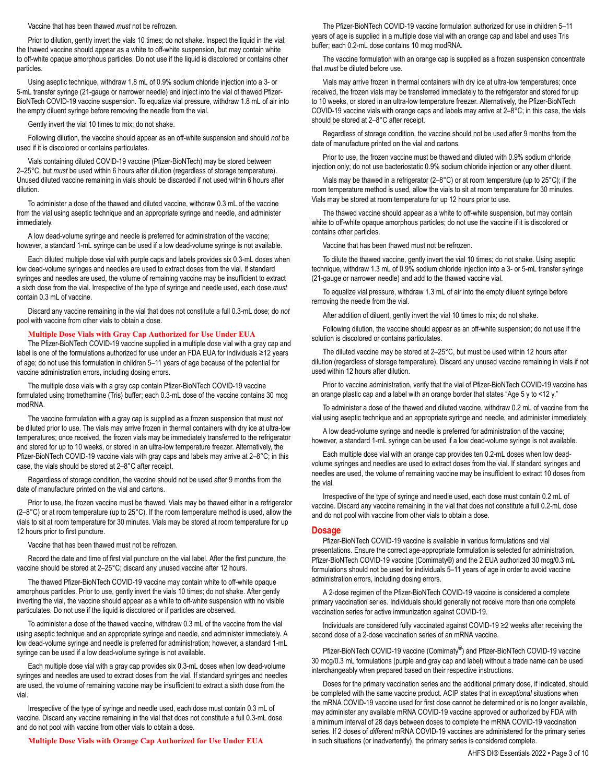#### Vaccine that has been thawed *must* not be refrozen.

Prior to dilution, gently invert the vials 10 times; do not shake. Inspect the liquid in the vial; the thawed vaccine should appear as a white to off-white suspension, but may contain white to off-white opaque amorphous particles. Do not use if the liquid is discolored or contains other particles.

Using aseptic technique, withdraw 1.8 mL of 0.9% sodium chloride injection into a 3- or 5-mL transfer syringe (21-gauge or narrower needle) and inject into the vial of thawed Pfizer-BioNTech COVID-19 vaccine suspension. To equalize vial pressure, withdraw 1.8 mL of air into the empty diluent syringe before removing the needle from the vial.

Gently invert the vial 10 times to mix; do not shake.

Following dilution, the vaccine should appear as an off-white suspension and should *not* be used if it is discolored or contains particulates.

Vials containing diluted COVID-19 vaccine (Pfizer-BioNTech) may be stored between 2–25°C, but *must* be used within 6 hours after dilution (regardless of storage temperature). Unused diluted vaccine remaining in vials should be discarded if not used within 6 hours after dilution.

To administer a dose of the thawed and diluted vaccine, withdraw 0.3 mL of the vaccine from the vial using aseptic technique and an appropriate syringe and needle, and administer immediately.

A low dead-volume syringe and needle is preferred for administration of the vaccine; however, a standard 1-mL syringe can be used if a low dead-volume syringe is not available.

Each diluted multiple dose vial with purple caps and labels provides six 0.3-mL doses when low dead-volume syringes and needles are used to extract doses from the vial. If standard syringes and needles are used, the volume of remaining vaccine may be insufficient to extract a sixth dose from the vial. Irrespective of the type of syringe and needle used, each dose *must* contain 0.3 mL of vaccine.

Discard any vaccine remaining in the vial that does not constitute a full 0.3-mL dose; do *not* pool with vaccine from other vials to obtain a dose.

#### **Multiple Dose Vials with Gray Cap Authorized for Use Under EUA**

The Pfizer-BioNTech COVID-19 vaccine supplied in a multiple dose vial with a gray cap and label is one of the formulations authorized for use under an FDA EUA for individuals ≥12 years of age; do not use this formulation in children 5–11 years of age because of the potential for vaccine administration errors, including dosing errors.

The multiple dose vials with a gray cap contain Pfizer-BioNTech COVID-19 vaccine formulated using tromethamine (Tris) buffer; each 0.3-mL dose of the vaccine contains 30 mcg modRNA.

The vaccine formulation with a gray cap is supplied as a frozen suspension that must *not* be diluted prior to use. The vials may arrive frozen in thermal containers with dry ice at ultra-low temperatures; once received, the frozen vials may be immediately transferred to the refrigerator and stored for up to 10 weeks, or stored in an ultra-low temperature freezer. Alternatively, the Pfizer-BioNTech COVID-19 vaccine vials with gray caps and labels may arrive at 2–8°C; in this case, the vials should be stored at 2–8°C after receipt.

Regardless of storage condition, the vaccine should not be used after 9 months from the date of manufacture printed on the vial and cartons.

Prior to use, the frozen vaccine must be thawed. Vials may be thawed either in a refrigerator  $(2-8\degree C)$  or at room temperature (up to 25 $\degree C$ ). If the room temperature method is used, allow the vials to sit at room temperature for 30 minutes. Vials may be stored at room temperature for up 12 hours prior to first puncture.

Vaccine that has been thawed must not be refrozen.

Record the date and time of first vial puncture on the vial label. After the first puncture, the vaccine should be stored at 2–25°C; discard any unused vaccine after 12 hours.

The thawed Pfizer-BioNTech COVID-19 vaccine may contain white to off-white opaque amorphous particles. Prior to use, gently invert the vials 10 times; do not shake. After gently inverting the vial, the vaccine should appear as a white to off-white suspension with no visible particulates. Do not use if the liquid is discolored or if particles are observed.

To administer a dose of the thawed vaccine, withdraw 0.3 mL of the vaccine from the vial using aseptic technique and an appropriate syringe and needle, and administer immediately. A low dead-volume syringe and needle is preferred for administration; however, a standard 1-mL syringe can be used if a low dead-volume syringe is not available.

Each multiple dose vial with a gray cap provides six 0.3-mL doses when low dead-volume syringes and needles are used to extract doses from the vial. If standard syringes and needles are used, the volume of remaining vaccine may be insufficient to extract a sixth dose from the vial.

Irrespective of the type of syringe and needle used, each dose must contain 0.3 mL of vaccine. Discard any vaccine remaining in the vial that does not constitute a full 0.3-mL dose and do not pool with vaccine from other vials to obtain a dose.

**Multiple Dose Vials with Orange Cap Authorized for Use Under EUA**

The Pfizer-BioNTech COVID-19 vaccine formulation authorized for use in children 5–11 years of age is supplied in a multiple dose vial with an orange cap and label and uses Tris buffer; each 0.2-mL dose contains 10 mcg modRNA.

The vaccine formulation with an orange cap is supplied as a frozen suspension concentrate that *must* be diluted before use.

Vials may arrive frozen in thermal containers with dry ice at ultra-low temperatures; once received, the frozen vials may be transferred immediately to the refrigerator and stored for up to 10 weeks, or stored in an ultra-low temperature freezer. Alternatively, the Pfizer-BioNTech COVID-19 vaccine vials with orange caps and labels may arrive at 2–8°C; in this case, the vials should be stored at 2–8°C after receipt.

Regardless of storage condition, the vaccine should not be used after 9 months from the date of manufacture printed on the vial and cartons.

Prior to use, the frozen vaccine must be thawed and diluted with 0.9% sodium chloride injection only; do not use bacteriostatic 0.9% sodium chloride injection or any other diluent.

Vials may be thawed in a refrigerator (2–8°C) or at room temperature (up to 25°C); if the room temperature method is used, allow the vials to sit at room temperature for 30 minutes. Vials may be stored at room temperature for up 12 hours prior to use.

The thawed vaccine should appear as a white to off-white suspension, but may contain white to off-white opaque amorphous particles; do not use the vaccine if it is discolored or contains other particles.

Vaccine that has been thawed must not be refrozen.

To dilute the thawed vaccine, gently invert the vial 10 times; do not shake. Using aseptic technique, withdraw 1.3 mL of 0.9% sodium chloride injection into a 3- or 5-mL transfer syringe (21-gauge or narrower needle) and add to the thawed vaccine vial.

To equalize vial pressure, withdraw 1.3 mL of air into the empty diluent syringe before removing the needle from the vial.

After addition of diluent, gently invert the vial 10 times to mix; do not shake.

Following dilution, the vaccine should appear as an off-white suspension; do not use if the solution is discolored or contains particulates.

The diluted vaccine may be stored at 2–25°C, but must be used within 12 hours after dilution (regardless of storage temperature). Discard any unused vaccine remaining in vials if not used within 12 hours after dilution.

Prior to vaccine administration, verify that the vial of Pfizer-BioNTech COVID-19 vaccine has an orange plastic cap and a label with an orange border that states "Age 5 y to <12 y."

To administer a dose of the thawed and diluted vaccine, withdraw 0.2 mL of vaccine from the vial using aseptic technique and an appropriate syringe and needle, and administer immediately.

A low dead-volume syringe and needle is preferred for administration of the vaccine; however, a standard 1-mL syringe can be used if a low dead-volume syringe is not available.

Each multiple dose vial with an orange cap provides ten 0.2-mL doses when low deadvolume syringes and needles are used to extract doses from the vial. If standard syringes and needles are used, the volume of remaining vaccine may be insufficient to extract 10 doses from the vial.

Irrespective of the type of syringe and needle used, each dose must contain 0.2 mL of vaccine. Discard any vaccine remaining in the vial that does not constitute a full 0.2-mL dose and do not pool with vaccine from other vials to obtain a dose.

#### **Dosage**

Pfizer-BioNTech COVID-19 vaccine is available in various formulations and vial presentations. Ensure the correct age-appropriate formulation is selected for administration. Pfizer-BioNTech COVID-19 vaccine (Comirnaty®) and the 2 EUA authorized 30 mcg/0.3 mL formulations should not be used for individuals 5–11 years of age in order to avoid vaccine administration errors, including dosing errors.

A 2-dose regimen of the Pfizer-BioNTech COVID-19 vaccine is considered a complete primary vaccination series. Individuals should generally not receive more than one complete vaccination series for active immunization against COVID-19.

Individuals are considered fully vaccinated against COVID-19 ≥2 weeks after receiving the second dose of a 2-dose vaccination series of an mRNA vaccine.

Pfizer-BioNTech COVID-19 vaccine (Comirnaty<sup>®</sup>) and Pfizer-BioNTech COVID-19 vaccine 30 mcg/0.3 mL formulations (purple and gray cap and label) without a trade name can be used interchangeably when prepared based on their respective instructions.

Doses for the primary vaccination series and the additional primary dose, if indicated, should be completed with the same vaccine product. ACIP states that in *exceptional* situations when the mRNA COVID-19 vaccine used for first dose cannot be determined or is no longer available, may administer any available mRNA COVID-19 vaccine approved or authorized by FDA with a minimum interval of 28 days between doses to complete the mRNA COVID-19 vaccination series. If 2 doses of *different* mRNA COVID-19 vaccines are administered for the primary series in such situations (or inadvertently), the primary series is considered complete.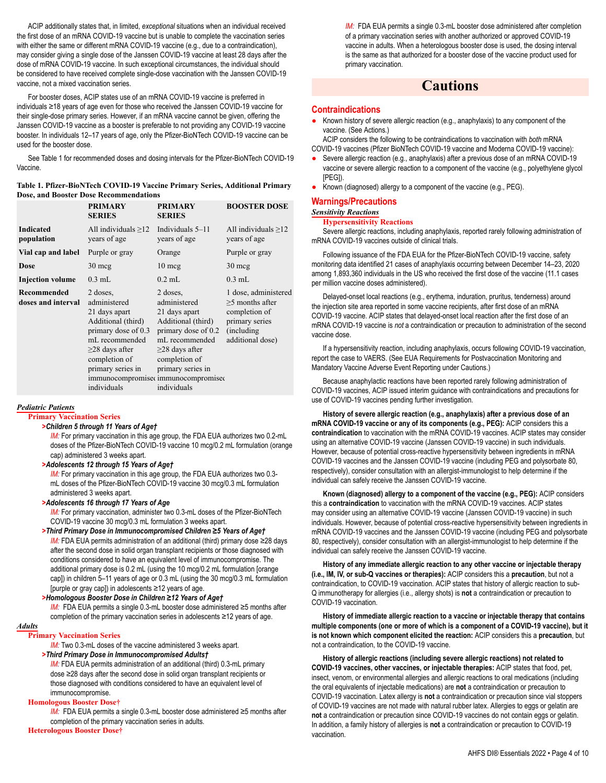ACIP additionally states that, in limited, *exceptional* situations when an individual received the first dose of an mRNA COVID-19 vaccine but is unable to complete the vaccination series with either the same or different mRNA COVID-19 vaccine (e.g., due to a contraindication), may consider giving a single dose of the Janssen COVID-19 vaccine at least 28 days after the dose of mRNA COVID-19 vaccine. In such exceptional circumstances, the individual should be considered to have received complete single-dose vaccination with the Janssen COVID-19 vaccine, not a mixed vaccination series.

For booster doses, ACIP states use of an mRNA COVID-19 vaccine is preferred in individuals ≥18 years of age even for those who received the Janssen COVID-19 vaccine for their single-dose primary series. However, if an mRNA vaccine cannot be given, offering the Janssen COVID-19 vaccine as a booster is preferable to not providing any COVID-19 vaccine booster. In individuals 12–17 years of age, only the Pfizer-BioNTech COVID-19 vaccine can be used for the booster dose.

See Table 1 for recommended doses and dosing intervals for the Pfizer-BioNTech COVID-19 Vaccine.

#### **Table 1. Pfizer-BioNTech COVID-19 Vaccine Primary Series, Additional Primary Dose, and Booster Dose Recommendations**

|                                          | <b>PRIMARY</b><br><b>SERIES</b>                                                                                                                                                       | <b>PRIMARY</b><br><b>SERIES</b>                                                                                                                                                                                              | <b>BOOSTER DOSE</b>                                                                                             |
|------------------------------------------|---------------------------------------------------------------------------------------------------------------------------------------------------------------------------------------|------------------------------------------------------------------------------------------------------------------------------------------------------------------------------------------------------------------------------|-----------------------------------------------------------------------------------------------------------------|
| <b>Indicated</b><br>population           | All individuals $\geq$ 12<br>years of age                                                                                                                                             | Individuals $5-11$<br>years of age                                                                                                                                                                                           | All individuals $>12$<br>years of age                                                                           |
| Vial cap and label                       | Purple or gray                                                                                                                                                                        | Orange                                                                                                                                                                                                                       | Purple or gray                                                                                                  |
| Dose                                     | $30 \text{~mg}$                                                                                                                                                                       | $10 \text{ mg}$                                                                                                                                                                                                              | $30 \text{~mg}$                                                                                                 |
| <b>Injection volume</b>                  | $0.3$ mL                                                                                                                                                                              | $0.2$ mL                                                                                                                                                                                                                     | $0.3$ mL                                                                                                        |
| <b>Recommended</b><br>doses and interval | 2 doses,<br>administered<br>21 days apart<br>Additional (third)<br>primary dose of 0.3<br>mL recommended<br>$\geq$ 28 days after<br>completion of<br>primary series in<br>individuals | 2 doses,<br>administered<br>21 days apart<br>Additional (third)<br>primary dose of 0.2<br>mL recommended<br>$\geq$ 28 days after<br>completion of<br>primary series in<br>immunocompromised immunocompromised<br>individuals | 1 dose, administered<br>$>5$ months after<br>completion of<br>primary series<br>(including)<br>additional dose) |

#### *Pediatric Patients*

**Primary Vaccination Series**

#### *>Children 5 through 11 Years of Age†*

*IM:* For primary vaccination in this age group, the FDA EUA authorizes two 0.2-mL doses of the Pfizer-BioNTech COVID-19 vaccine 10 mcg/0.2 mL formulation (orange cap) administered 3 weeks apart.

#### *>Adolescents 12 through 15 Years of Age†*

**IM:** For primary vaccination in this age group, the FDA EUA authorizes two 0.3mL doses of the Pfizer-BioNTech COVID-19 vaccine 30 mcg/0.3 mL formulation administered 3 weeks apart.

#### *>Adolescents 16 through 17 Years of Age*

*IM:* For primary vaccination, administer two 0.3-mL doses of the Pfizer-BioNTech COVID-19 vaccine 30 mcg/0.3 mL formulation 3 weeks apart.

*>Third Primary Dose in Immunocompromised Children ≥5 Years of Age† IM:* FDA EUA permits administration of an additional (third) primary dose ≥28 days after the second dose in solid organ transplant recipients or those diagnosed with conditions considered to have an equivalent level of immunocompromise. The additional primary dose is 0.2 mL (using the 10 mcg/0.2 mL formulation [orange cap]) in children 5–11 years of age or 0.3 mL (using the 30 mcg/0.3 mL formulation [purple or gray cap]) in adolescents ≥12 years of age.

#### *>Homologous Booster Dose in Children ≥12 Years of Age†*

*IM:* FDA EUA permits a single 0.3-mL booster dose administered ≥5 months after completion of the primary vaccination series in adolescents ≥12 years of age.

#### *Adults*

#### **Primary Vaccination Series**

*IM:* Two 0.3-mL doses of the vaccine administered 3 weeks apart. *>Third Primary Dose in Immunocompromised Adults†*

**IM:** FDA EUA permits administration of an additional (third) 0.3-mL primary dose ≥28 days after the second dose in solid organ transplant recipients or those diagnosed with conditions considered to have an equivalent level of immunocompromise.

#### **Homologous Booster Dose†**

*IM:* FDA EUA permits a single 0.3-mL booster dose administered ≥5 months after completion of the primary vaccination series in adults.

#### **Heterologous Booster Dose†**

*IM:* FDA EUA permits a single 0.3-mL booster dose administered after completion of a primary vaccination series with another authorized or approved COVID-19 vaccine in adults. When a heterologous booster dose is used, the dosing interval is the same as that authorized for a booster dose of the vaccine product used for primary vaccination.

### **Cautions**

#### **Contraindications**

Known history of severe allergic reaction (e.g., anaphylaxis) to any component of the vaccine. (See Actions.)

ACIP considers the following to be contraindications to vaccination with *both* mRNA COVID-19 vaccines (Pfizer BioNTech COVID-19 vaccine and Moderna COVID-19 vaccine):

- Severe allergic reaction (e.g., anaphylaxis) after a previous dose of an mRNA COVID-19 vaccine or severe allergic reaction to a component of the vaccine (e.g., polyethylene glycol [PEG]).
- Known (diagnosed) allergy to a component of the vaccine (e.g., PEG).

#### **Warnings/Precautions**

#### *Sensitivity Reactions*

#### **Hypersensitivity Reactions**

Severe allergic reactions, including anaphylaxis, reported rarely following administration of mRNA COVID-19 vaccines outside of clinical trials.

Following issuance of the FDA EUA for the Pfizer-BioNTech COVID-19 vaccine, safety monitoring data identified 21 cases of anaphylaxis occurring between December 14–23, 2020 among 1,893,360 individuals in the US who received the first dose of the vaccine (11.1 cases per million vaccine doses administered).

Delayed-onset local reactions (e.g., erythema, induration, pruritus, tenderness) around the injection site area reported in some vaccine recipients, after first dose of an mRNA COVID-19 vaccine. ACIP states that delayed-onset local reaction after the first dose of an mRNA COVID-19 vaccine is *not* a contraindication or precaution to administration of the second vaccine dose.

If a hypersensitivity reaction, including anaphylaxis, occurs following COVID-19 vaccination, report the case to VAERS. (See EUA Requirements for Postvaccination Monitoring and Mandatory Vaccine Adverse Event Reporting under Cautions.)

Because anaphylactic reactions have been reported rarely following administration of COVID-19 vaccines, ACIP issued interim guidance with contraindications and precautions for use of COVID-19 vaccines pending further investigation.

**History of severe allergic reaction (e.g., anaphylaxis) after a previous dose of an mRNA COVID-19 vaccine or any of its components (e.g., PEG):** ACIP considers this a **contraindication** to vaccination with the mRNA COVID-19 vaccines. ACIP states may consider using an alternative COVID-19 vaccine (Janssen COVID-19 vaccine) in such individuals. However, because of potential cross-reactive hypersensitivity between ingredients in mRNA COVID-19 vaccines and the Janssen COVID-19 vaccine (including PEG and polysorbate 80, respectively), consider consultation with an allergist-immunologist to help determine if the individual can safely receive the Janssen COVID-19 vaccine.

**Known (diagnosed) allergy to a component of the vaccine (e.g., PEG):** ACIP considers this a **contraindication** to vaccination with the mRNA COVID-19 vaccines. ACIP states may consider using an alternative COVID-19 vaccine (Janssen COVID-19 vaccine) in such individuals. However, because of potential cross-reactive hypersensitivity between ingredients in mRNA COVID-19 vaccines and the Janssen COVID-19 vaccine (including PEG and polysorbate 80, respectively), consider consultation with an allergist-immunologist to help determine if the individual can safely receive the Janssen COVID-19 vaccine.

**History of any immediate allergic reaction to any other vaccine or injectable therapy (i.e., IM, IV, or sub-Q vaccines or therapies):** ACIP considers this a **precaution**, but not a contraindication, to COVID-19 vaccination. ACIP states that history of allergic reaction to sub-Q immunotherapy for allergies (i.e., allergy shots) is **not** a contraindication or precaution to COVID-19 vaccination.

**History of immediate allergic reaction to a vaccine or injectable therapy that contains multiple components (one or more of which is a component of a COVID-19 vaccine), but it is not known which component elicited the reaction:** ACIP considers this a **precaution**, but not a contraindication, to the COVID-19 vaccine.

**History of allergic reactions (including severe allergic reactions) not related to COVID-19 vaccines, other vaccines, or injectable therapies:** ACIP states that food, pet, insect, venom, or environmental allergies and allergic reactions to oral medications (including the oral equivalents of injectable medications) are **not** a contraindication or precaution to COVID-19 vaccination. Latex allergy is **not** a contraindication or precaution since vial stoppers of COVID-19 vaccines are not made with natural rubber latex. Allergies to eggs or gelatin are **not** a contraindication or precaution since COVID-19 vaccines do not contain eggs or gelatin. In addition, a family history of allergies is **not** a contraindication or precaution to COVID-19 vaccination.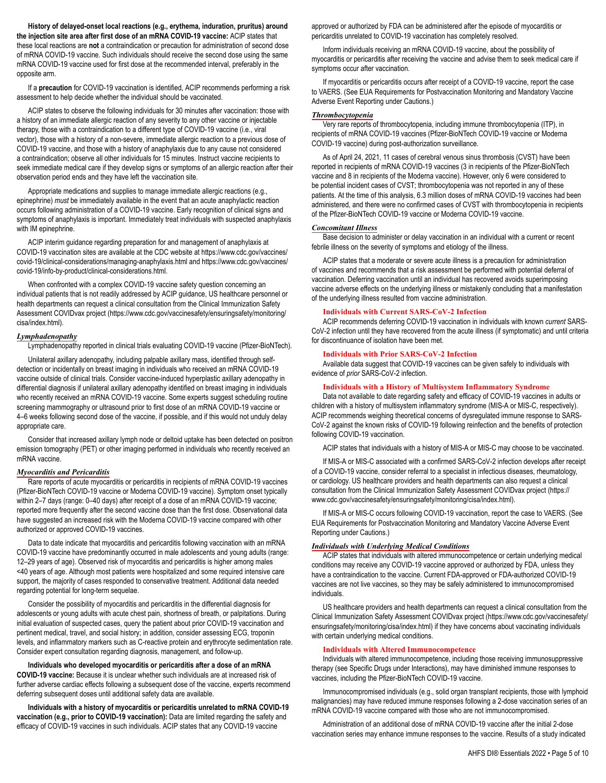**History of delayed-onset local reactions (e.g., erythema, induration, pruritus) around the injection site area after first dose of an mRNA COVID-19 vaccine:** ACIP states that these local reactions are **not** a contraindication or precaution for administration of second dose of mRNA COVID-19 vaccine. Such individuals should receive the second dose using the same mRNA COVID-19 vaccine used for first dose at the recommended interval, preferably in the opposite arm.

If a **precaution** for COVID-19 vaccination is identified, ACIP recommends performing a risk assessment to help decide whether the individual should be vaccinated.

ACIP states to observe the following individuals for 30 minutes after vaccination: those with a history of an immediate allergic reaction of any severity to any other vaccine or injectable therapy, those with a contraindication to a different type of COVID-19 vaccine (i.e., viral vector), those with a history of a non-severe, immediate allergic reaction to a previous dose of COVID-19 vaccine, and those with a history of anaphylaxis due to any cause not considered a contraindication; observe all other individuals for 15 minutes. Instruct vaccine recipients to seek immediate medical care if they develop signs or symptoms of an allergic reaction after their observation period ends and they have left the vaccination site.

Appropriate medications and supplies to manage immediate allergic reactions (e.g., epinephrine) *must* be immediately available in the event that an acute anaphylactic reaction occurs following administration of a COVID-19 vaccine. Early recognition of clinical signs and symptoms of anaphylaxis is important. Immediately treat individuals with suspected anaphylaxis with IM epinephrine.

ACIP interim guidance regarding preparation for and management of anaphylaxis at COVID-19 vaccination sites are available at the CDC website at https://www.cdc.gov/vaccines/ covid-19/clinical-considerations/managing-anaphylaxis.html and https://www.cdc.gov/vaccines/ covid-19/info-by-product/clinical-considerations.html.

When confronted with a complex COVID-19 vaccine safety question concerning an individual patients that is not readily addressed by ACIP guidance, US healthcare personnel or health departments can request a clinical consultation from the Clinical Immunization Safety Assessment COVIDvax project (https://www.cdc.gov/vaccinesafety/ensuringsafety/monitoring/ cisa/index.html).

#### *Lymphadenopathy*

Lymphadenopathy reported in clinical trials evaluating COVID-19 vaccine (Pfizer-BioNTech).

Unilateral axillary adenopathy, including palpable axillary mass, identified through selfdetection or incidentally on breast imaging in individuals who received an mRNA COVID-19 vaccine outside of clinical trials. Consider vaccine-induced hyperplastic axillary adenopathy in differential diagnosis if unilateral axillary adenopathy identified on breast imaging in individuals who recently received an mRNA COVID-19 vaccine. Some experts suggest scheduling routine screening mammography or ultrasound prior to first dose of an mRNA COVID-19 vaccine or 4–6 weeks following second dose of the vaccine, if possible, and if this would not unduly delay appropriate care.

Consider that increased axillary lymph node or deltoid uptake has been detected on positron emission tomography (PET) or other imaging performed in individuals who recently received an mRNA vaccine.

#### *Myocarditis and Pericarditis*

Rare reports of acute myocarditis or pericarditis in recipients of mRNA COVID-19 vaccines (Pfizer-BioNTech COVID-19 vaccine or Moderna COVID-19 vaccine). Symptom onset typically within 2–7 days (range: 0–40 days) after receipt of a dose of an mRNA COVID-19 vaccine; reported more frequently after the second vaccine dose than the first dose. Observational data have suggested an increased risk with the Moderna COVID-19 vaccine compared with other authorized or approved COVID-19 vaccines.

Data to date indicate that myocarditis and pericarditis following vaccination with an mRNA COVID-19 vaccine have predominantly occurred in male adolescents and young adults (range: 12–29 years of age). Observed risk of myocarditis and pericarditis is higher among males <40 years of age. Although most patients were hospitalized and some required intensive care support, the majority of cases responded to conservative treatment. Additional data needed regarding potential for long-term sequelae.

Consider the possibility of myocarditis and pericarditis in the differential diagnosis for adolescents or young adults with acute chest pain, shortness of breath, or palpitations. During initial evaluation of suspected cases, query the patient about prior COVID-19 vaccination and pertinent medical, travel, and social history; in addition, consider assessing ECG, troponin levels, and inflammatory markers such as C-reactive protein and erythrocyte sedimentation rate. Consider expert consultation regarding diagnosis, management, and follow-up.

**Individuals who developed myocarditis or pericarditis after a dose of an mRNA COVID-19 vaccine:** Because it is unclear whether such individuals are at increased risk of further adverse cardiac effects following a subsequent dose of the vaccine, experts recommend deferring subsequent doses until additional safety data are available.

**Individuals with a history of myocarditis or pericarditis unrelated to mRNA COVID-19 vaccination (e.g., prior to COVID-19 vaccination):** Data are limited regarding the safety and efficacy of COVID-19 vaccines in such individuals. ACIP states that any COVID-19 vaccine

approved or authorized by FDA can be administered after the episode of myocarditis or pericarditis unrelated to COVID-19 vaccination has completely resolved.

Inform individuals receiving an mRNA COVID-19 vaccine, about the possibility of myocarditis or pericarditis after receiving the vaccine and advise them to seek medical care if symptoms occur after vaccination.

If myocarditis or pericarditis occurs after receipt of a COVID-19 vaccine, report the case to VAERS. (See EUA Requirements for Postvaccination Monitoring and Mandatory Vaccine Adverse Event Reporting under Cautions.)

#### *Thrombocytopenia*

Very rare reports of thrombocytopenia, including immune thrombocytopenia (ITP), in recipients of mRNA COVID-19 vaccines (Pfizer-BioNTech COVID-19 vaccine or Moderna COVID-19 vaccine) during post-authorization surveillance.

As of April 24, 2021, 11 cases of cerebral venous sinus thrombosis (CVST) have been reported in recipients of mRNA COVID-19 vaccines (3 in recipients of the Pfizer-BioNTech vaccine and 8 in recipients of the Moderna vaccine). However, only 6 were considered to be potential incident cases of CVST; thrombocytopenia was not reported in any of these patients. At the time of this analysis, 6.3 million doses of mRNA COVID-19 vaccines had been administered, and there were no confirmed cases of CVST with thrombocytopenia in recipients of the Pfizer-BioNTech COVID-19 vaccine or Moderna COVID-19 vaccine.

#### *Concomitant Illness*

Base decision to administer or delay vaccination in an individual with a current or recent febrile illness on the severity of symptoms and etiology of the illness.

ACIP states that a moderate or severe acute illness is a precaution for administration of vaccines and recommends that a risk assessment be performed with potential deferral of vaccination. Deferring vaccination until an individual has recovered avoids superimposing vaccine adverse effects on the underlying illness or mistakenly concluding that a manifestation of the underlying illness resulted from vaccine administration.

#### **Individuals with Current SARS-CoV-2 Infection**

ACIP recommends deferring COVID-19 vaccination in individuals with known *current* SARS-CoV-2 infection until they have recovered from the acute illness (if symptomatic) and until criteria for discontinuance of isolation have been met.

#### **Individuals with Prior SARS-CoV-2 Infection**

Available data suggest that COVID-19 vaccines can be given safely to individuals with evidence of *prior* SARS-CoV-2 infection.

#### **Individuals with a History of Multisystem Inflammatory Syndrome**

Data not available to date regarding safety and efficacy of COVID-19 vaccines in adults or children with a history of multisystem inflammatory syndrome (MIS-A or MIS-C, respectively). ACIP recommends weighing theoretical concerns of dysregulated immune response to SARS-CoV-2 against the known risks of COVID-19 following reinfection and the benefits of protection following COVID-19 vaccination.

ACIP states that individuals with a history of MIS-A or MIS-C may choose to be vaccinated.

If MIS-A or MIS-C associated with a confirmed SARS-CoV-2 infection develops after receipt of a COVID-19 vaccine, consider referral to a specialist in infectious diseases, rheumatology, or cardiology. US healthcare providers and health departments can also request a clinical consultation from the Clinical Immunization Safety Assessment COVIDvax project (https:// www.cdc.gov/vaccinesafety/ensuringsafety/monitoring/cisa/index.html).

If MIS-A or MIS-C occurs following COVID-19 vaccination, report the case to VAERS. (See EUA Requirements for Postvaccination Monitoring and Mandatory Vaccine Adverse Event Reporting under Cautions.)

#### *Individuals with Underlying Medical Conditions*

ACIP states that individuals with altered immunocompetence or certain underlying medical conditions may receive any COVID-19 vaccine approved or authorized by FDA, unless they have a contraindication to the vaccine. Current FDA-approved or FDA-authorized COVID-19 vaccines are not live vaccines, so they may be safely administered to immunocompromised individuals.

US healthcare providers and health departments can request a clinical consultation from the Clinical Immunization Safety Assessment COVIDvax project (https://www.cdc.gov/vaccinesafety/ ensuringsafety/monitoring/cisa/index.html) if they have concerns about vaccinating individuals with certain underlying medical conditions.

#### **Individuals with Altered Immunocompetence**

Individuals with altered immunocompetence, including those receiving immunosuppressive therapy (see Specific Drugs under Interactions), may have diminished immune responses to vaccines, including the Pfizer-BioNTech COVID-19 vaccine.

Immunocompromised individuals (e.g., solid organ transplant recipients, those with lymphoid malignancies) may have reduced immune responses following a 2-dose vaccination series of an mRNA COVID-19 vaccine compared with those who are not immunocompromised.

Administration of an additional dose of mRNA COVID-19 vaccine after the initial 2-dose vaccination series may enhance immune responses to the vaccine. Results of a study indicated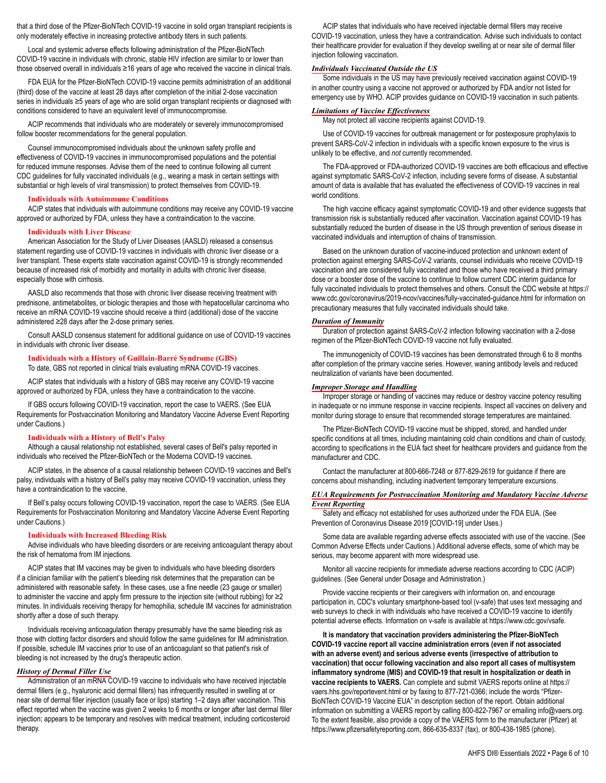that a third dose of the Pfizer-BioNTech COVID-19 vaccine in solid organ transplant recipients is only moderately effective in increasing protective antibody titers in such patients.

Local and systemic adverse effects following administration of the Pfizer-BioNTech COVID-19 vaccine in individuals with chronic, stable HIV infection are similar to or lower than those observed overall in individuals ≥16 years of age who received the vaccine in clinical trials.

FDA EUA for the Pfizer-BioNTech COVID-19 vaccine permits administration of an additional (third) dose of the vaccine at least 28 days after completion of the initial 2-dose vaccination series in individuals ≥5 years of age who are solid organ transplant recipients or diagnosed with conditions considered to have an equivalent level of immunocompromise.

ACIP recommends that individuals who are moderately or severely immunocompromised follow booster recommendations for the general population.

Counsel immunocompromised individuals about the unknown safety profile and effectiveness of COVID-19 vaccines in immunocompromised populations and the potential for reduced immune responses. Advise them of the need to continue following all current CDC guidelines for fully vaccinated individuals (e.g., wearing a mask in certain settings with substantial or high levels of viral transmission) to protect themselves from COVID-19.

#### **Individuals with Autoimmune Conditions**

ACIP states that individuals with autoimmune conditions may receive any COVID-19 vaccine approved or authorized by FDA, unless they have a contraindication to the vaccine.

#### **Individuals with Liver Disease**

American Association for the Study of Liver Diseases (AASLD) released a consensus statement regarding use of COVID-19 vaccines in individuals with chronic liver disease or a liver transplant. These experts state vaccination against COVID-19 is strongly recommended because of increased risk of morbidity and mortality in adults with chronic liver disease, especially those with cirrhosis.

AASLD also recommends that those with chronic liver disease receiving treatment with prednisone, antimetabolites, or biologic therapies and those with hepatocellular carcinoma who receive an mRNA COVID-19 vaccine should receive a third (additional) dose of the vaccine administered ≥28 days after the 2-dose primary series.

Consult AASLD consensus statement for additional guidance on use of COVID-19 vaccines in individuals with chronic liver disease.

#### **Individuals with a History of Guillain-Barré Syndrome (GBS)**

To date, GBS not reported in clinical trials evaluating mRNA COVID-19 vaccines.

ACIP states that individuals with a history of GBS may receive any COVID-19 vaccine approved or authorized by FDA, unless they have a contraindication to the vaccine.

If GBS occurs following COVID-19 vaccination, report the case to VAERS. (See EUA Requirements for Postvaccination Monitoring and Mandatory Vaccine Adverse Event Reporting under Cautions.)

#### **Individuals with a History of Bell's Palsy**

Although a causal relationship not established, several cases of Bell's palsy reported in individuals who received the Pfizer-BioNTech or the Moderna COVID-19 vaccines.

ACIP states, in the absence of a causal relationship between COVID-19 vaccines and Bell's palsy, individuals with a history of Bell's palsy may receive COVID-19 vaccination, unless they have a contraindication to the vaccine.

If Bell's palsy occurs following COVID-19 vaccination, report the case to VAERS. (See EUA Requirements for Postvaccination Monitoring and Mandatory Vaccine Adverse Event Reporting under Cautions.)

#### **Individuals with Increased Bleeding Risk**

Advise individuals who have bleeding disorders or are receiving anticoagulant therapy about the risk of hematoma from IM injections.

ACIP states that IM vaccines may be given to individuals who have bleeding disorders if a clinician familiar with the patient's bleeding risk determines that the preparation can be administered with reasonable safety. In these cases, use a fine needle (23 gauge or smaller) to administer the vaccine and apply firm pressure to the injection site (without rubbing) for ≥2 minutes. In individuals receiving therapy for hemophilia, schedule IM vaccines for administration shortly after a dose of such therapy.

Individuals receiving anticoagulation therapy presumably have the same bleeding risk as those with clotting factor disorders and should follow the same guidelines for IM administration. If possible, schedule IM vaccines prior to use of an anticoagulant so that patient's risk of bleeding is not increased by the drug's therapeutic action.

#### *History of Dermal Filler Use*

Administration of an mRNA COVID-19 vaccine to individuals who have received injectable dermal fillers (e.g., hyaluronic acid dermal fillers) has infrequently resulted in swelling at or near site of dermal filler injection (usually face or lips) starting 1–2 days after vaccination. This effect reported when the vaccine was given 2 weeks to 6 months or longer after last dermal filler injection; appears to be temporary and resolves with medical treatment, including corticosteroid therapy.

ACIP states that individuals who have received injectable dermal fillers may receive COVID-19 vaccination, unless they have a contraindication. Advise such individuals to contact their healthcare provider for evaluation if they develop swelling at or near site of dermal filler injection following vaccination.

#### *Individuals Vaccinated Outside the US*

Some individuals in the US may have previously received vaccination against COVID-19 in another country using a vaccine not approved or authorized by FDA and/or not listed for emergency use by WHO. ACIP provides guidance on COVID-19 vaccination in such patients.

#### *Limitations of Vaccine Effectiveness*

May not protect all vaccine recipients against COVID-19.

Use of COVID-19 vaccines for outbreak management or for postexposure prophylaxis to prevent SARS-CoV-2 infection in individuals with a specific known exposure to the virus is unlikely to be effective, and *not* currently recommended.

The FDA-approved or FDA-authorized COVID-19 vaccines are both efficacious and effective against symptomatic SARS-CoV-2 infection, including severe forms of disease. A substantial amount of data is available that has evaluated the effectiveness of COVID-19 vaccines in real world conditions.

The high vaccine efficacy against symptomatic COVID-19 and other evidence suggests that transmission risk is substantially reduced after vaccination. Vaccination against COVID-19 has substantially reduced the burden of disease in the US through prevention of serious disease in vaccinated individuals and interruption of chains of transmission.

Based on the unknown duration of vaccine-induced protection and unknown extent of protection against emerging SARS-CoV-2 variants, counsel individuals who receive COVID-19 vaccination and are considered fully vaccinated and those who have received a third primary dose or a booster dose of the vaccine to continue to follow current CDC interim guidance for fully vaccinated individuals to protect themselves and others. Consult the CDC website at https:// www.cdc.gov/coronavirus/2019-ncov/vaccines/fully-vaccinated-guidance.html for information on precautionary measures that fully vaccinated individuals should take.

#### *Duration of Immunity*

Duration of protection against SARS-CoV-2 infection following vaccination with a 2-dose regimen of the Pfizer-BioNTech COVID-19 vaccine not fully evaluated.

The immunogenicity of COVID-19 vaccines has been demonstrated through 6 to 8 months after completion of the primary vaccine series. However, waning antibody levels and reduced neutralization of variants have been documented.

#### *Improper Storage and Handling*

Improper storage or handling of vaccines may reduce or destroy vaccine potency resulting in inadequate or no immune response in vaccine recipients. Inspect all vaccines on delivery and monitor during storage to ensure that recommended storage temperatures are maintained.

The Pfizer-BioNTech COVID-19 vaccine must be shipped, stored, and handled under specific conditions at all times, including maintaining cold chain conditions and chain of custody, according to specifications in the EUA fact sheet for healthcare providers and guidance from the manufacturer and CDC.

Contact the manufacturer at 800-666-7248 or 877-829-2619 for guidance if there are concerns about mishandling, including inadvertent temporary temperature excursions.

#### *EUA Requirements for Postvaccination Monitoring and Mandatory Vaccine Adverse Event Reporting*

Safety and efficacy not established for uses authorized under the FDA EUA. (See Prevention of Coronavirus Disease 2019 [COVID-19] under Uses.)

Some data are available regarding adverse effects associated with use of the vaccine. (See Common Adverse Effects under Cautions.) Additional adverse effects, some of which may be serious, may become apparent with more widespread use.

Monitor all vaccine recipients for immediate adverse reactions according to CDC (ACIP) guidelines. (See General under Dosage and Administration.)

Provide vaccine recipients or their caregivers with information on, and encourage participation in, CDC's voluntary smartphone-based tool (v-safe) that uses text messaging and web surveys to check in with individuals who have received a COVID-19 vaccine to identify potential adverse effects. Information on v-safe is available at https://www.cdc.gov/vsafe.

**It is mandatory that vaccination providers administering the Pfizer-BioNTech COVID-19 vaccine report all vaccine administration errors (even if not associated with an adverse event) and serious adverse events (irrespective of attribution to vaccination) that occur following vaccination and also report all cases of multisystem inflammatory syndrome (MIS) and COVID-19 that result in hospitalization or death in vaccine recipients to VAERS.** Can complete and submit VAERS reports online at https:// vaers.hhs.gov/reportevent.html or by faxing to 877-721-0366; include the words "Pfizer-BioNTech COVID-19 Vaccine EUA" in description section of the report. Obtain additional information on submitting a VAERS report by calling 800-822-7967 or emailing info@vaers.org. To the extent feasible, also provide a copy of the VAERS form to the manufacturer (Pfizer) at https://www.pfizersafetyreporting.com, 866-635-8337 (fax), or 800-438-1985 (phone).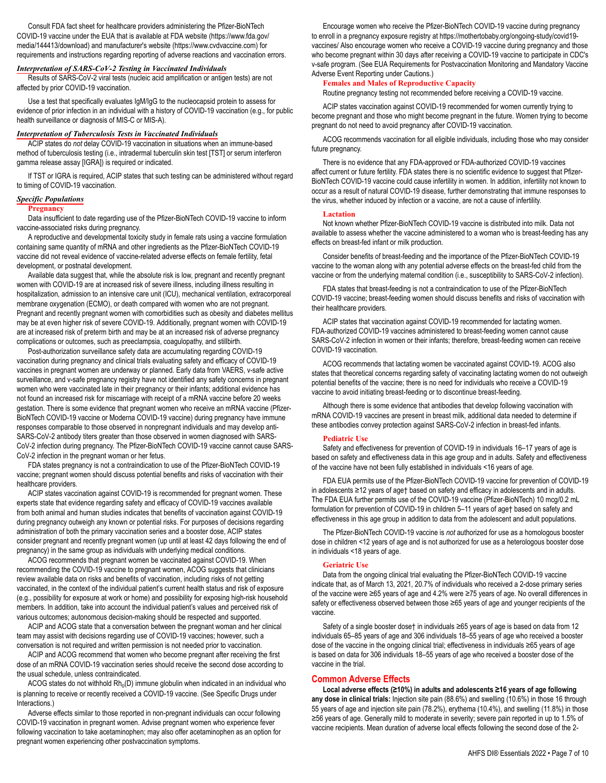Consult FDA fact sheet for healthcare providers administering the Pfizer-BioNTech COVID-19 vaccine under the EUA that is available at FDA website (https://www.fda.gov/ media/144413/download) and manufacturer's website (https://www.cvdvaccine.com) for requirements and instructions regarding reporting of adverse reactions and vaccination errors.

#### *Interpretation of SARS-CoV-2 Testing in Vaccinated Individuals*

Results of SARS-CoV-2 viral tests (nucleic acid amplification or antigen tests) are not affected by prior COVID-19 vaccination.

Use a test that specifically evaluates IgM/IgG to the nucleocapsid protein to assess for evidence of prior infection in an individual with a history of COVID-19 vaccination (e.g., for public health surveillance or diagnosis of MIS-C or MIS-A).

#### *Interpretation of Tuberculosis Tests in Vaccinated Individuals*

ACIP states do *not* delay COVID-19 vaccination in situations when an immune-based method of tuberculosis testing (i.e., intradermal tuberculin skin test [TST] or serum interferon gamma release assay [IGRA]) is required or indicated.

If TST or IGRA is required, ACIP states that such testing can be administered without regard to timing of COVID-19 vaccination.

#### *Specific Populations*

#### **Pregnancy**

Data insufficient to date regarding use of the Pfizer-BioNTech COVID-19 vaccine to inform vaccine-associated risks during pregnancy.

A reproductive and developmental toxicity study in female rats using a vaccine formulation containing same quantity of mRNA and other ingredients as the Pfizer-BioNTech COVID-19 vaccine did not reveal evidence of vaccine-related adverse effects on female fertility, fetal development, or postnatal development.

Available data suggest that, while the absolute risk is low, pregnant and recently pregnant women with COVID-19 are at increased risk of severe illness, including illness resulting in hospitalization, admission to an intensive care unit (ICU), mechanical ventilation, extracorporeal membrane oxygenation (ECMO), or death compared with women who are not pregnant. Pregnant and recently pregnant women with comorbidities such as obesity and diabetes mellitus may be at even higher risk of severe COVID-19. Additionally, pregnant women with COVID-19 are at increased risk of preterm birth and may be at an increased risk of adverse pregnancy complications or outcomes, such as preeclampsia, coagulopathy, and stillbirth.

Post-authorization surveillance safety data are accumulating regarding COVID-19 vaccination during pregnancy and clinical trials evaluating safety and efficacy of COVID-19 vaccines in pregnant women are underway or planned. Early data from VAERS, v-safe active surveillance, and v-safe pregnancy registry have not identified any safety concerns in pregnant women who were vaccinated late in their pregnancy or their infants; additional evidence has not found an increased risk for miscarriage with receipt of a mRNA vaccine before 20 weeks gestation. There is some evidence that pregnant women who receive an mRNA vaccine (Pfizer-BioNTech COVID-19 vaccine or Moderna COVID-19 vaccine) during pregnancy have immune responses comparable to those observed in nonpregnant individuals and may develop anti-SARS-CoV-2 antibody titers greater than those observed in women diagnosed with SARS-CoV-2 infection during pregnancy. The Pfizer-BioNTech COVID-19 vaccine cannot cause SARS-CoV-2 infection in the pregnant woman or her fetus.

FDA states pregnancy is not a contraindication to use of the Pfizer-BioNTech COVID-19 vaccine; pregnant women should discuss potential benefits and risks of vaccination with their healthcare providers.

ACIP states vaccination against COVID-19 is recommended for pregnant women. These experts state that evidence regarding safety and efficacy of COVID-19 vaccines available from both animal and human studies indicates that benefits of vaccination against COVID-19 during pregnancy outweigh any known or potential risks. For purposes of decisions regarding administration of both the primary vaccination series and a booster dose, ACIP states consider pregnant and recently pregnant women (up until at least 42 days following the end of pregnancy) in the same group as individuals with underlying medical conditions.

ACOG recommends that pregnant women be vaccinated against COVID-19. When recommending the COVID-19 vaccine to pregnant women, ACOG suggests that clinicians review available data on risks and benefits of vaccination, including risks of not getting vaccinated, in the context of the individual patient's current health status and risk of exposure (e.g., possibility for exposure at work or home) and possibility for exposing high-risk household members. In addition, take into account the individual patient's values and perceived risk of various outcomes; autonomous decision-making should be respected and supported.

ACIP and ACOG state that a conversation between the pregnant woman and her clinical team may assist with decisions regarding use of COVID-19 vaccines; however, such a conversation is not required and written permission is not needed prior to vaccination.

ACIP and ACOG recommend that women who become pregnant after receiving the first dose of an mRNA COVID-19 vaccination series should receive the second dose according to the usual schedule, unless contraindicated.

ACOG states do not withhold  $\mathsf{Rh}_{\mathrm{o}}(\mathsf{D})$  immune globulin when indicated in an individual who is planning to receive or recently received a COVID-19 vaccine. (See Specific Drugs under Interactions.)

Adverse effects similar to those reported in non-pregnant individuals can occur following COVID-19 vaccination in pregnant women. Advise pregnant women who experience fever following vaccination to take acetaminophen; may also offer acetaminophen as an option for pregnant women experiencing other postvaccination symptoms.

Encourage women who receive the Pfizer-BioNTech COVID-19 vaccine during pregnancy to enroll in a pregnancy exposure registry at https://mothertobaby.org/ongoing-study/covid19 vaccines/ Also encourage women who receive a COVID-19 vaccine during pregnancy and those who become pregnant within 30 days after receiving a COVID-19 vaccine to participate in CDC's v-safe program. (See EUA Requirements for Postvaccination Monitoring and Mandatory Vaccine Adverse Event Reporting under Cautions.)

#### **Females and Males of Reproductive Capacity**

Routine pregnancy testing not recommended before receiving a COVID-19 vaccine.

ACIP states vaccination against COVID-19 recommended for women currently trying to become pregnant and those who might become pregnant in the future. Women trying to become pregnant do not need to avoid pregnancy after COVID-19 vaccination.

ACOG recommends vaccination for all eligible individuals, including those who may consider future pregnancy.

There is no evidence that any FDA-approved or FDA-authorized COVID-19 vaccines affect current or future fertility. FDA states there is no scientific evidence to suggest that Pfizer-BioNTech COVID-19 vaccine could cause infertility in women. In addition, infertility not known to occur as a result of natural COVID-19 disease, further demonstrating that immune responses to the virus, whether induced by infection or a vaccine, are not a cause of infertility.

#### **Lactation**

Not known whether Pfizer-BioNTech COVID-19 vaccine is distributed into milk. Data not available to assess whether the vaccine administered to a woman who is breast-feeding has any effects on breast-fed infant or milk production.

Consider benefits of breast-feeding and the importance of the Pfizer-BioNTech COVID-19 vaccine to the woman along with any potential adverse effects on the breast-fed child from the vaccine or from the underlying maternal condition (i.e., susceptibility to SARS-CoV-2 infection).

FDA states that breast-feeding is not a contraindication to use of the Pfizer-BioNTech COVID-19 vaccine; breast-feeding women should discuss benefits and risks of vaccination with their healthcare providers.

ACIP states that vaccination against COVID-19 recommended for lactating women. FDA-authorized COVID-19 vaccines administered to breast-feeding women cannot cause SARS-CoV-2 infection in women or their infants; therefore, breast-feeding women can receive COVID-19 vaccination.

ACOG recommends that lactating women be vaccinated against COVID-19. ACOG also states that theoretical concerns regarding safety of vaccinating lactating women do not outweigh potential benefits of the vaccine; there is no need for individuals who receive a COVID-19 vaccine to avoid initiating breast-feeding or to discontinue breast-feeding.

Although there is some evidence that antibodies that develop following vaccination with mRNA COVID-19 vaccines are present in breast milk, additional data needed to determine if these antibodies convey protection against SARS-CoV-2 infection in breast-fed infants.

#### **Pediatric Use**

Safety and effectiveness for prevention of COVID-19 in individuals 16–17 years of age is based on safety and effectiveness data in this age group and in adults. Safety and effectiveness of the vaccine have not been fully established in individuals <16 years of age.

FDA EUA permits use of the Pfizer-BioNTech COVID-19 vaccine for prevention of COVID-19 in adolescents ≥12 years of age† based on safety and efficacy in adolescents and in adults. The FDA EUA further permits use of the COVID-19 vaccine (Pfizer-BioNTech) 10 mcg/0.2 mL formulation for prevention of COVID-19 in children 5–11 years of age† based on safety and effectiveness in this age group in addition to data from the adolescent and adult populations.

The Pfizer-BioNTech COVID-19 vaccine is *not* authorized for use as a homologous booster dose in children <12 years of age and is not authorized for use as a heterologous booster dose in individuals <18 years of age.

#### **Geriatric Use**

Data from the ongoing clinical trial evaluating the Pfizer-BioNTech COVID-19 vaccine indicate that, as of March 13, 2021, 20.7% of individuals who received a 2-dose primary series of the vaccine were ≥65 years of age and 4.2% were ≥75 years of age. No overall differences in safety or effectiveness observed between those ≥65 years of age and younger recipients of the vaccine.

Safety of a single booster dose† in individuals ≥65 years of age is based on data from 12 individuals 65–85 years of age and 306 individuals 18–55 years of age who received a booster dose of the vaccine in the ongoing clinical trial; effectiveness in individuals ≥65 years of age is based on data for 306 individuals 18–55 years of age who received a booster dose of the vaccine in the trial.

#### **Common Adverse Effects**

**Local adverse effects (≥10%) in adults and adolescents ≥16 years of age following any dose in clinical trials:** Injection site pain (88.6%) and swelling (10.6%) in those 16 through 55 years of age and injection site pain (78.2%), erythema (10.4%), and swelling (11.8%) in those ≥56 years of age. Generally mild to moderate in severity; severe pain reported in up to 1.5% of vaccine recipients. Mean duration of adverse local effects following the second dose of the 2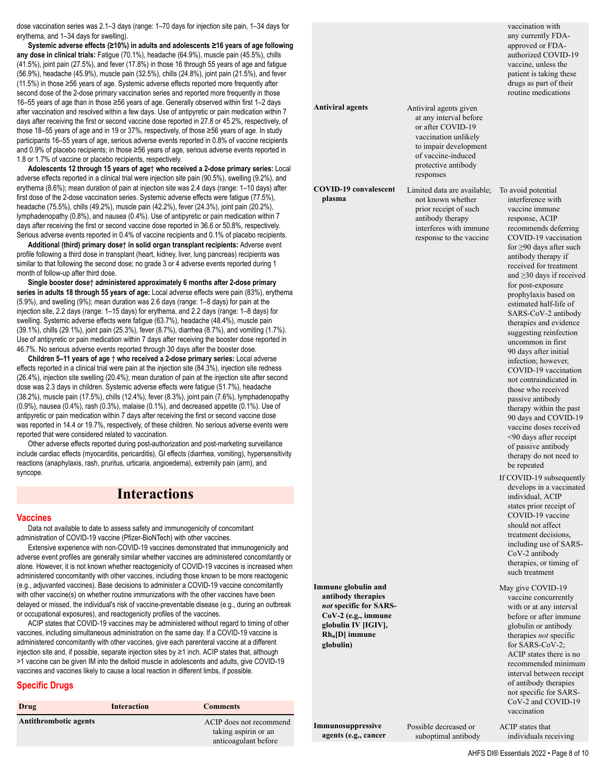dose vaccination series was 2.1–3 days (range: 1–70 days for injection site pain, 1–34 days for erythema, and 1–34 days for swelling).

**Systemic adverse effects (≥10%) in adults and adolescents ≥16 years of age following any dose in clinical trials:** Fatigue (70.1%), headache (64.9%), muscle pain (45.5%), chills (41.5%), joint pain (27.5%), and fever (17.8%) in those 16 through 55 years of age and fatigue (56.9%), headache (45.9%), muscle pain (32.5%), chills (24.8%), joint pain (21.5%), and fever (11.5%) in those ≥56 years of age. Systemic adverse effects reported more frequently after second dose of the 2-dose primary vaccination series and reported more frequently in those 16–55 years of age than in those ≥56 years of age. Generally observed within first 1–2 days after vaccination and resolved within a few days. Use of antipyretic or pain medication within 7 days after receiving the first or second vaccine dose reported in 27.8 or 45.2%, respectively, of those 18–55 years of age and in 19 or 37%, respectively, of those ≥56 years of age. In study participants 16–55 years of age, serious adverse events reported in 0.8% of vaccine recipients and 0.9% of placebo recipients; in those ≥56 years of age, serious adverse events reported in 1.8 or 1.7% of vaccine or placebo recipients, respectively.

**Adolescents 12 through 15 years of age**† **who received a 2-dose primary series:** Local adverse effects reported in a clinical trial were injection site pain (90.5%), swelling (9.2%), and erythema (8.6%); mean duration of pain at injection site was 2.4 days (range: 1–10 days) after first dose of the 2-dose vaccination series. Systemic adverse effects were fatigue (77.5%), headache (75.5%), chills (49.2%), muscle pain (42.2%), fever (24.3%), joint pain (20.2%), lymphadenopathy (0.8%), and nausea (0.4%). Use of antipyretic or pain medication within 7 days after receiving the first or second vaccine dose reported in 36.6 or 50.8%, respectively. Serious adverse events reported in 0.4% of vaccine recipients and 0.1% of placebo recipients.

**Additional (third) primary dose**† **in solid organ transplant recipients:** Adverse event profile following a third dose in transplant (heart, kidney, liver, lung pancreas) recipients was similar to that following the second dose; no grade 3 or 4 adverse events reported during 1 month of follow-up after third dose.

**Single booster dose**† **administered approximately 6 months after 2-dose primary series in adults 18 through 55 years of age:** Local adverse effects were pain (83%), erythema (5.9%), and swelling (9%); mean duration was 2.6 days (range: 1–8 days) for pain at the injection site, 2.2 days (range: 1–15 days) for erythema, and 2.2 days (range: 1–8 days) for swelling. Systemic adverse effects were fatigue (63.7%), headache (48.4%), muscle pain (39.1%), chills (29.1%), joint pain (25.3%), fever (8.7%), diarrhea (8.7%), and vomiting (1.7%). Use of antipyretic or pain medication within 7 days after receiving the booster dose reported in 46.7%. No serious adverse events reported through 30 days after the booster dose.

**Children 5–11 years of age** † **who received a 2-dose primary series:** Local adverse effects reported in a clinical trial were pain at the injection site (84.3%), injection site redness (26.4%), injection site swelling (20.4%); mean duration of pain at the injection site after second dose was 2.3 days in children. Systemic adverse effects were fatigue (51.7%), headache (38.2%), muscle pain (17.5%), chills (12.4%), fever (8.3%), joint pain (7.6%), lymphadenopathy (0.9%), nausea (0.4%), rash (0.3%), malaise (0.1%), and decreased appetite (0.1%). Use of antipyretic or pain medication within 7 days after receiving the first or second vaccine dose was reported in 14.4 or 19.7%, respectively, of these children. No serious adverse events were reported that were considered related to vaccination.

Other adverse effects reported during post-authorization and post-marketing surveillance include cardiac effects (myocarditis, pericarditis), GI effects (diarrhea, vomiting), hypersensitivity reactions (anaphylaxis, rash, pruritus, urticaria, angioedema), extremity pain (arm), and syncope.

### **Interactions**

#### **Vaccines**

Data not available to date to assess safety and immunogenicity of concomitant administration of COVID-19 vaccine (Pfizer-BioNTech) with other vaccines.

Extensive experience with non-COVID-19 vaccines demonstrated that immunogenicity and adverse event profiles are generally similar whether vaccines are administered concomitantly or alone. However, it is not known whether reactogenicity of COVID-19 vaccines is increased when administered concomitantly with other vaccines, including those known to be more reactogenic (e.g., adjuvanted vaccines). Base decisions to administer a COVID-19 vaccine concomitantly with other vaccine(s) on whether routine immunizations with the other vaccines have been delayed or missed, the individual's risk of vaccine-preventable disease (e.g., during an outbreak or occupational exposures), and reactogenicity profiles of the vaccines.

ACIP states that COVID-19 vaccines may be administered without regard to timing of other vaccines, including simultaneous administration on the same day. If a COVID-19 vaccine is administered concomitantly with other vaccines, give each parenteral vaccine at a different injection site and, if possible, separate injection sites by ≥1 inch. ACIP states that, although >1 vaccine can be given IM into the deltoid muscle in adolescents and adults, give COVID-19 vaccines and vaccines likely to cause a local reaction in different limbs, if possible.

#### **Specific Drugs**

| Drug                         | Interaction | <b>Comments</b>                                 |
|------------------------------|-------------|-------------------------------------------------|
| <b>Antithrombotic agents</b> |             | ACIP does not recommend<br>taking aspirin or an |
|                              |             | anticoagulant before                            |

|                                                                                                                                                     |                                                                                                                                                                                  | any currently FDA-<br>approved or FDA-<br>authorized COVID-19<br>vaccine, unless the<br>patient is taking these<br>drugs as part of their<br>routine medications                                                                                                                                                                                                                                                                                                                                                                                                                                                                                                                                                                                                                                                                                                                                                                                                                                           |  |
|-----------------------------------------------------------------------------------------------------------------------------------------------------|----------------------------------------------------------------------------------------------------------------------------------------------------------------------------------|------------------------------------------------------------------------------------------------------------------------------------------------------------------------------------------------------------------------------------------------------------------------------------------------------------------------------------------------------------------------------------------------------------------------------------------------------------------------------------------------------------------------------------------------------------------------------------------------------------------------------------------------------------------------------------------------------------------------------------------------------------------------------------------------------------------------------------------------------------------------------------------------------------------------------------------------------------------------------------------------------------|--|
| <b>Antiviral agents</b>                                                                                                                             | Antiviral agents given<br>at any interval before<br>or after COVID-19<br>vaccination unlikely<br>to impair development<br>of vaccine-induced<br>protective antibody<br>responses |                                                                                                                                                                                                                                                                                                                                                                                                                                                                                                                                                                                                                                                                                                                                                                                                                                                                                                                                                                                                            |  |
| <b>COVID-19</b> convalescent<br>plasma                                                                                                              | Limited data are available;<br>not known whether<br>prior receipt of such<br>antibody therapy<br>interferes with immune<br>response to the vaccine                               | To avoid potential<br>interference with<br>vaccine immune<br>response, ACIP<br>recommends deferring<br>COVID-19 vaccination<br>for $\geq$ 90 days after such<br>antibody therapy if<br>received for treatment<br>and $\geq$ 30 days if received<br>for post-exposure<br>prophylaxis based on<br>estimated half-life of<br>SARS-CoV-2 antibody<br>therapies and evidence<br>suggesting reinfection<br>uncommon in first<br>90 days after initial<br>infection; however,<br>COVID-19 vaccination<br>not contraindicated in<br>those who received<br>passive antibody<br>therapy within the past<br>90 days and COVID-19<br>vaccine doses received<br><90 days after receipt<br>of passive antibody<br>therapy do not need to<br>be repeated<br>If COVID-19 subsequently<br>develops in a vaccinated<br>individual, ACIP<br>states prior receipt of<br>COVID-19 vaccine<br>should not affect<br>treatment decisions,<br>including use of SARS-<br>CoV-2 antibody<br>therapies, or timing of<br>such treatment |  |
| Immune globulin and<br>antibody therapies<br>not specific for SARS-<br>$CoV-2$ (e.g., immune<br>globulin IV [IGIV],<br>$Rh0[D]$ immune<br>globulin) |                                                                                                                                                                                  | May give COVID-19<br>vaccine concurrently<br>with or at any interval<br>before or after immune<br>globulin or antibody<br>therapies not specific<br>for SARS-CoV-2;<br>ACIP states there is no<br>recommended minimum<br>interval between receipt<br>of antibody therapies<br>not specific for SARS-<br>CoV-2 and COVID-19<br>vaccination                                                                                                                                                                                                                                                                                                                                                                                                                                                                                                                                                                                                                                                                  |  |

vaccination with

**Immunosuppressive agents (e.g., cancer** Possible decreased or suboptimal antibody ACIP states that individuals receiving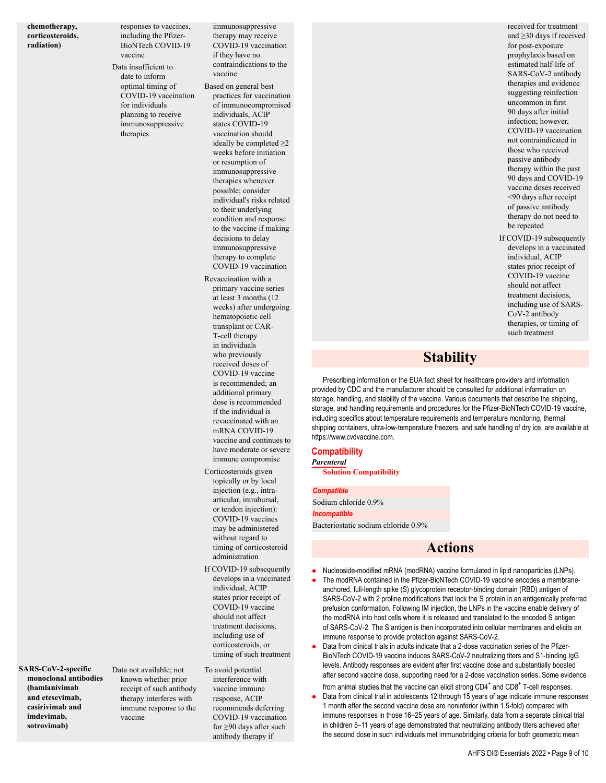**chemotherapy, corticosteroids, radiation)**

responses to vaccines, including the Pfizer-BioNTech COVID-19 vaccine Data insufficient to

date to inform optimal timing of COVID-19 vaccination for individuals planning to receive immunosuppressive therapies

immunosuppressive therapy may receive COVID-19 vaccination if they have no contraindications to the vaccine

- Based on general best practices for vaccination of immunocompromised individuals, ACIP states COVID-19 vaccination should ideally be completed  $\geq$ 2 weeks before initiation or resumption of immunosuppressive therapies whenever possible; consider individual's risks related to their underlying condition and response to the vaccine if making decisions to delay immunosuppressive therapy to complete COVID-19 vaccination
- Revaccination with a primary vaccine series at least 3 months (12 weeks) after undergoing hematopoietic cell transplant or CAR-T-cell therapy in individuals who previously received doses of COVID-19 vaccine is recommended; an additional primary dose is recommended if the individual is revaccinated with an mRNA COVID-19 vaccine and continues to have moderate or severe immune compromise
- Corticosteroids given topically or by local injection (e.g., intraarticular, intrabursal, or tendon injection): COVID-19 vaccines may be administered without regard to timing of corticosteroid administration
- If COVID-19 subsequently develops in a vaccinated individual, ACIP states prior receipt of COVID-19 vaccine should not affect treatment decisions, including use of corticosteroids, or timing of such treatment

**SARS-CoV-2-specific monoclonal antibodies (bamlanivimab and etesevimab, casirivimab and imdevimab, sotrovimab)**

Data not available; not known whether prior receipt of such antibody therapy interferes with immune response to the vaccine

To avoid potential interference with vaccine immune response, ACIP recommends deferring COVID-19 vaccination for ≥90 days after such antibody therapy if

received for treatment and ≥30 days if received for post-exposure prophylaxis based on estimated half-life of SARS-CoV-2 antibody therapies and evidence suggesting reinfection uncommon in first 90 days after initial infection; however, COVID-19 vaccination not contraindicated in those who received passive antibody therapy within the past 90 days and COVID-19 vaccine doses received <90 days after receipt of passive antibody therapy do not need to be repeated If COVID-19 subsequently

develops in a vaccinated individual, ACIP states prior receipt of COVID-19 vaccine should not affect treatment decisions, including use of SARS-CoV-2 antibody therapies, or timing of such treatment

# **Stability**

Prescribing information or the EUA fact sheet for healthcare providers and information provided by CDC and the manufacturer should be consulted for additional information on storage, handling, and stability of the vaccine. Various documents that describe the shipping, storage, and handling requirements and procedures for the Pfizer-BioNTech COVID-19 vaccine, including specifics about temperature requirements and temperature monitoring, thermal shipping containers, ultra-low-temperature freezers, and safe handling of dry ice, are available at https://www.cvdvaccine.com.

#### **Compatibility** *Parenteral*

**Solution Compatibility**

#### *Compatible*

Sodium chloride 0.9% *Incompatible* Bacteriostatic sodium chloride 0.9%

# **Actions**

- Nucleoside-modified mRNA (modRNA) vaccine formulated in lipid nanoparticles (LNPs).
- The modRNA contained in the Pfizer-BioNTech COVID-19 vaccine encodes a membraneanchored, full-length spike (S) glycoprotein receptor-binding domain (RBD) antigen of SARS-CoV-2 with 2 proline modifications that lock the S protein in an antigenically preferred prefusion conformation. Following IM injection, the LNPs in the vaccine enable delivery of the modRNA into host cells where it is released and translated to the encoded S antigen of SARS-CoV-2. The S antigen is then incorporated into cellular membranes and elicits an immune response to provide protection against SARS-CoV-2.
- Data from clinical trials in adults indicate that a 2-dose vaccination series of the Pfizer-BioNTech COVID-19 vaccine induces SARS-CoV-2 neutralizing titers and S1-binding IgG levels. Antibody responses are evident after first vaccine dose and substantially boosted after second vaccine dose, supporting need for a 2-dose vaccination series. Some evidence from animal studies that the vaccine can elicit strong  $CD4^+$  and  $CD8^+$  T-cell responses.
- Data from clinical trial in adolescents 12 through 15 years of age indicate immune responses 1 month after the second vaccine dose are noninferior (within 1.5-fold) compared with immune responses in those 16–25 years of age. Similarly, data from a separate clinical trial in children 5–11 years of age demonstrated that neutralizing antibody titers achieved after the second dose in such individuals met immunobridging criteria for both geometric mean